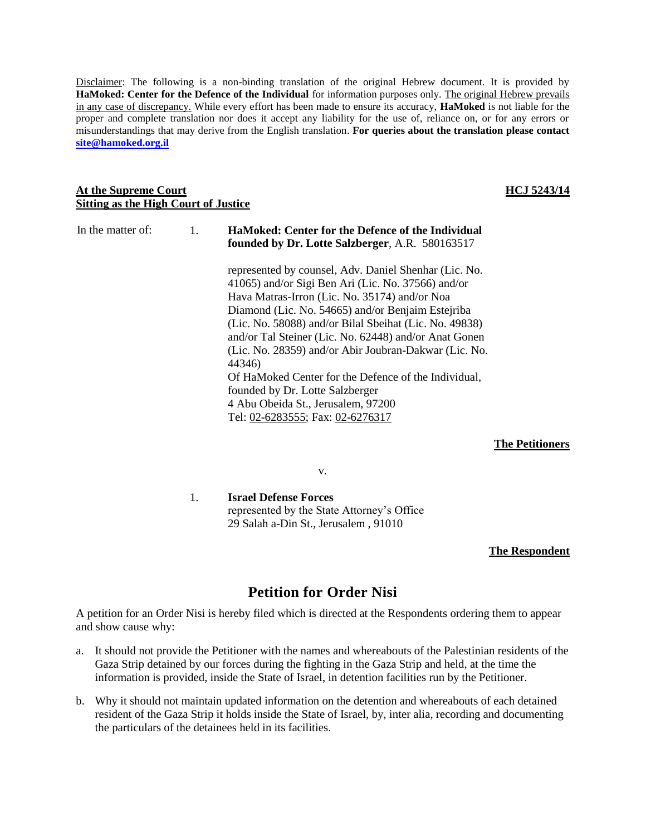Disclaimer: The following is a non-binding translation of the original Hebrew document. It is provided by **HaMoked: Center for the Defence of the Individual** for information purposes only. The original Hebrew prevails in any case of discrepancy. While every effort has been made to ensure its accuracy, **HaMoked** is not liable for the proper and complete translation nor does it accept any liability for the use of, reliance on, or for any errors or misunderstandings that may derive from the English translation. **For queries about the translation please contact [site@hamoked.org.il](mailto:site@hamoked.org.il)**

### **At the Supreme Court Sitting as the High Court of Justice**

| In the matter of: | $\mathbf{1}$ . | HaMoked: Center for the Defence of the Individual<br>founded by Dr. Lotte Salzberger, A.R. 580163517                                                                                                                                                                                                                                                                                                    |
|-------------------|----------------|---------------------------------------------------------------------------------------------------------------------------------------------------------------------------------------------------------------------------------------------------------------------------------------------------------------------------------------------------------------------------------------------------------|
|                   |                | represented by counsel, Adv. Daniel Shenhar (Lic. No.<br>41065) and/or Sigi Ben Ari (Lic. No. 37566) and/or<br>Hava Matras-Irron (Lic. No. 35174) and/or Noa<br>Diamond (Lic. No. 54665) and/or Benjaim Estejriba<br>(Lic. No. 58088) and/or Bilal Sbeihat (Lic. No. 49838)<br>and/or Tal Steiner (Lic. No. 62448) and/or Anat Gonen<br>(Lic. No. 28359) and/or Abir Joubran-Dakwar (Lic. No.<br>44346) |
|                   |                | Of HaMoked Center for the Defence of the Individual,<br>founded by Dr. Lotte Salzberger<br>4 Abu Obeida St., Jerusalem, 97200<br>Tel: 02-6283555; Fax: 02-6276317                                                                                                                                                                                                                                       |

**The Petitioners**

v.

1. **Israel Defense Forces** represented by the State Attorney's Office 29 Salah a-Din St., Jerusalem , 91010

### **The Respondent**

## **Petition for Order Nisi**

A petition for an Order Nisi is hereby filed which is directed at the Respondents ordering them to appear and show cause why:

- a. It should not provide the Petitioner with the names and whereabouts of the Palestinian residents of the Gaza Strip detained by our forces during the fighting in the Gaza Strip and held, at the time the information is provided, inside the State of Israel, in detention facilities run by the Petitioner.
- b. Why it should not maintain updated information on the detention and whereabouts of each detained resident of the Gaza Strip it holds inside the State of Israel, by, inter alia, recording and documenting the particulars of the detainees held in its facilities.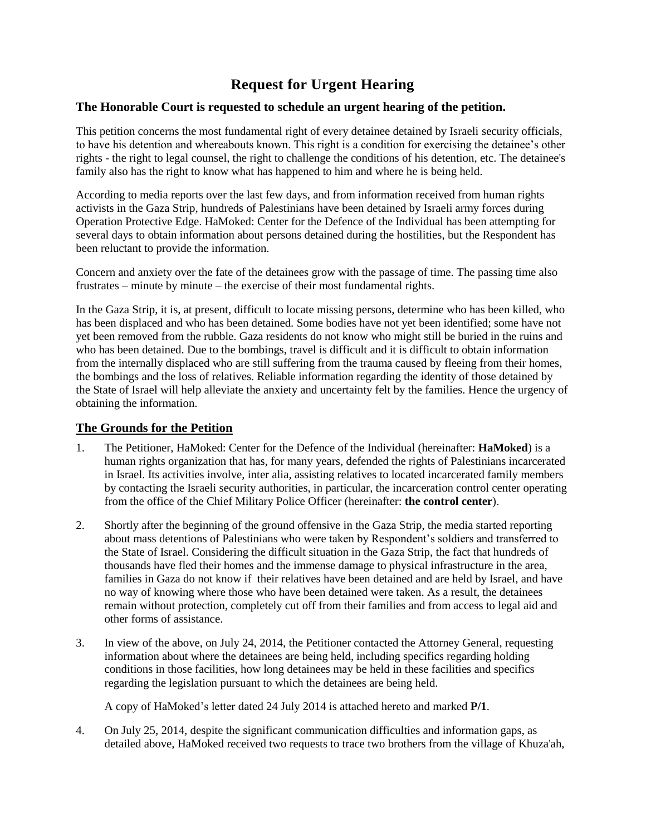# **Request for Urgent Hearing**

## **The Honorable Court is requested to schedule an urgent hearing of the petition.**

This petition concerns the most fundamental right of every detainee detained by Israeli security officials, to have his detention and whereabouts known. This right is a condition for exercising the detainee's other rights - the right to legal counsel, the right to challenge the conditions of his detention, etc. The detainee's family also has the right to know what has happened to him and where he is being held.

According to media reports over the last few days, and from information received from human rights activists in the Gaza Strip, hundreds of Palestinians have been detained by Israeli army forces during Operation Protective Edge. HaMoked: Center for the Defence of the Individual has been attempting for several days to obtain information about persons detained during the hostilities, but the Respondent has been reluctant to provide the information.

Concern and anxiety over the fate of the detainees grow with the passage of time. The passing time also frustrates – minute by minute – the exercise of their most fundamental rights.

In the Gaza Strip, it is, at present, difficult to locate missing persons, determine who has been killed, who has been displaced and who has been detained. Some bodies have not yet been identified; some have not yet been removed from the rubble. Gaza residents do not know who might still be buried in the ruins and who has been detained. Due to the bombings, travel is difficult and it is difficult to obtain information from the internally displaced who are still suffering from the trauma caused by fleeing from their homes, the bombings and the loss of relatives. Reliable information regarding the identity of those detained by the State of Israel will help alleviate the anxiety and uncertainty felt by the families. Hence the urgency of obtaining the information.

## **The Grounds for the Petition**

- 1. The Petitioner, HaMoked: Center for the Defence of the Individual (hereinafter: **HaMoked**) is a human rights organization that has, for many years, defended the rights of Palestinians incarcerated in Israel. Its activities involve, inter alia, assisting relatives to located incarcerated family members by contacting the Israeli security authorities, in particular, the incarceration control center operating from the office of the Chief Military Police Officer (hereinafter: **the control center**).
- 2. Shortly after the beginning of the ground offensive in the Gaza Strip, the media started reporting about mass detentions of Palestinians who were taken by Respondent's soldiers and transferred to the State of Israel. Considering the difficult situation in the Gaza Strip, the fact that hundreds of thousands have fled their homes and the immense damage to physical infrastructure in the area, families in Gaza do not know if their relatives have been detained and are held by Israel, and have no way of knowing where those who have been detained were taken. As a result, the detainees remain without protection, completely cut off from their families and from access to legal aid and other forms of assistance.
- 3. In view of the above, on July 24, 2014, the Petitioner contacted the Attorney General, requesting information about where the detainees are being held, including specifics regarding holding conditions in those facilities, how long detainees may be held in these facilities and specifics regarding the legislation pursuant to which the detainees are being held.

A copy of HaMoked's letter dated 24 July 2014 is attached hereto and marked **P/1**.

4. On July 25, 2014, despite the significant communication difficulties and information gaps, as detailed above, HaMoked received two requests to trace two brothers from the village of Khuza'ah,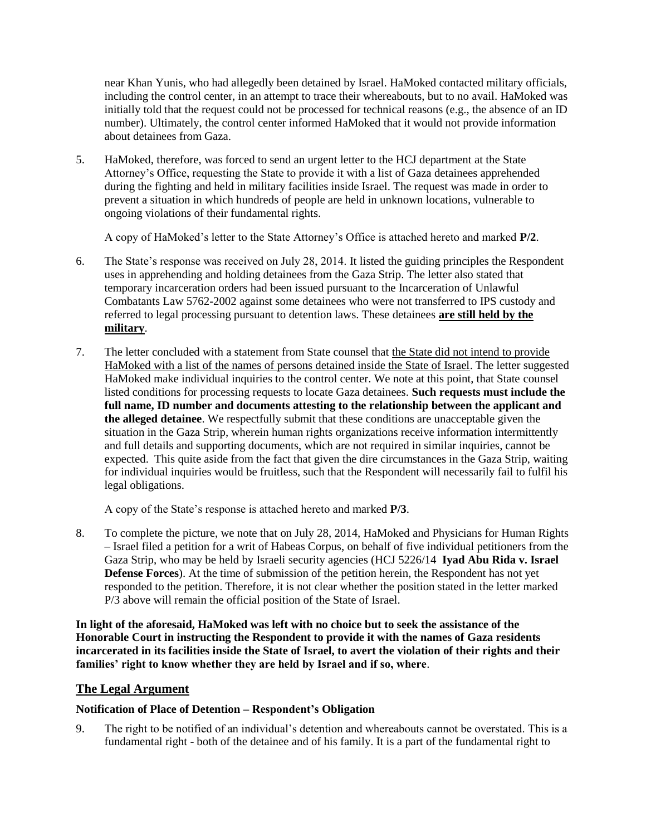near Khan Yunis, who had allegedly been detained by Israel. HaMoked contacted military officials, including the control center, in an attempt to trace their whereabouts, but to no avail. HaMoked was initially told that the request could not be processed for technical reasons (e.g., the absence of an ID number). Ultimately, the control center informed HaMoked that it would not provide information about detainees from Gaza.

5. HaMoked, therefore, was forced to send an urgent letter to the HCJ department at the State Attorney's Office, requesting the State to provide it with a list of Gaza detainees apprehended during the fighting and held in military facilities inside Israel. The request was made in order to prevent a situation in which hundreds of people are held in unknown locations, vulnerable to ongoing violations of their fundamental rights.

A copy of HaMoked's letter to the State Attorney's Office is attached hereto and marked **P/2**.

- 6. The State's response was received on July 28, 2014. It listed the guiding principles the Respondent uses in apprehending and holding detainees from the Gaza Strip. The letter also stated that temporary incarceration orders had been issued pursuant to the Incarceration of Unlawful Combatants Law 5762-2002 against some detainees who were not transferred to IPS custody and referred to legal processing pursuant to detention laws. These detainees **are still held by the military**.
- 7. The letter concluded with a statement from State counsel that the State did not intend to provide HaMoked with a list of the names of persons detained inside the State of Israel. The letter suggested HaMoked make individual inquiries to the control center. We note at this point, that State counsel listed conditions for processing requests to locate Gaza detainees. **Such requests must include the full name, ID number and documents attesting to the relationship between the applicant and the alleged detainee**. We respectfully submit that these conditions are unacceptable given the situation in the Gaza Strip, wherein human rights organizations receive information intermittently and full details and supporting documents, which are not required in similar inquiries, cannot be expected. This quite aside from the fact that given the dire circumstances in the Gaza Strip, waiting for individual inquiries would be fruitless, such that the Respondent will necessarily fail to fulfil his legal obligations.

A copy of the State's response is attached hereto and marked **P/3**.

8. To complete the picture, we note that on July 28, 2014, HaMoked and Physicians for Human Rights – Israel filed a petition for a writ of Habeas Corpus, on behalf of five individual petitioners from the Gaza Strip, who may be held by Israeli security agencies (HCJ 5226/14 **Iyad Abu Rida v. Israel Defense Forces**). At the time of submission of the petition herein, the Respondent has not yet responded to the petition. Therefore, it is not clear whether the position stated in the letter marked P/3 above will remain the official position of the State of Israel.

**In light of the aforesaid, HaMoked was left with no choice but to seek the assistance of the Honorable Court in instructing the Respondent to provide it with the names of Gaza residents incarcerated in its facilities inside the State of Israel, to avert the violation of their rights and their families' right to know whether they are held by Israel and if so, where**.

## **The Legal Argument**

### **Notification of Place of Detention – Respondent's Obligation**

9. The right to be notified of an individual's detention and whereabouts cannot be overstated. This is a fundamental right - both of the detainee and of his family. It is a part of the fundamental right to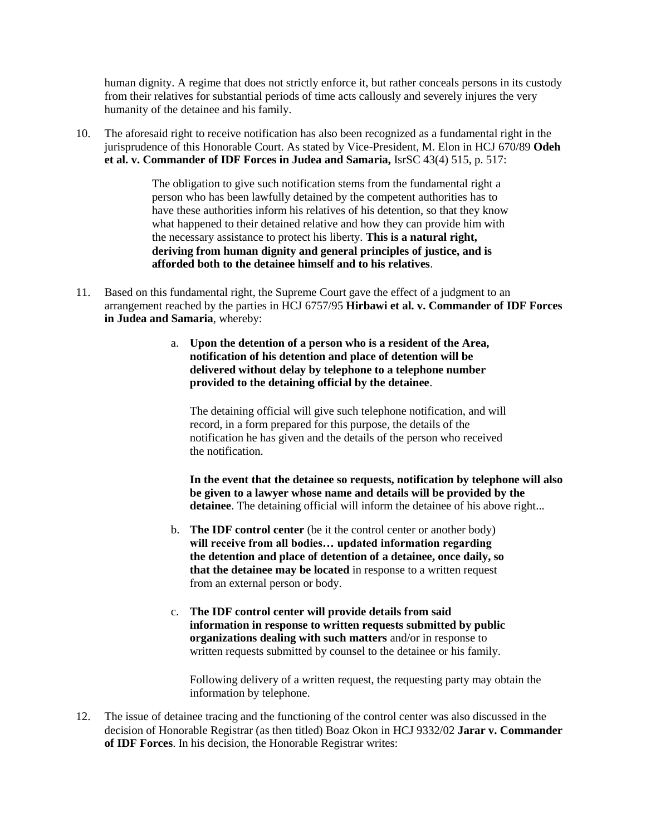human dignity. A regime that does not strictly enforce it, but rather conceals persons in its custody from their relatives for substantial periods of time acts callously and severely injures the very humanity of the detainee and his family.

10. The aforesaid right to receive notification has also been recognized as a fundamental right in the jurisprudence of this Honorable Court. As stated by Vice-President, M. Elon in HCJ 670/89 **Odeh et al. v. Commander of IDF Forces in Judea and Samaria,** IsrSC 43(4) 515, p. 517:

> The obligation to give such notification stems from the fundamental right a person who has been lawfully detained by the competent authorities has to have these authorities inform his relatives of his detention, so that they know what happened to their detained relative and how they can provide him with the necessary assistance to protect his liberty. **This is a natural right, deriving from human dignity and general principles of justice, and is afforded both to the detainee himself and to his relatives**.

- 11. Based on this fundamental right, the Supreme Court gave the effect of a judgment to an arrangement reached by the parties in HCJ 6757/95 **Hirbawi et al. v. Commander of IDF Forces in Judea and Samaria**, whereby:
	- a. **Upon the detention of a person who is a resident of the Area, notification of his detention and place of detention will be delivered without delay by telephone to a telephone number provided to the detaining official by the detainee**.

The detaining official will give such telephone notification, and will record, in a form prepared for this purpose, the details of the notification he has given and the details of the person who received the notification.

**In the event that the detainee so requests, notification by telephone will also be given to a lawyer whose name and details will be provided by the detainee**. The detaining official will inform the detainee of his above right...

- b. **The IDF control center** (be it the control center or another body) **will receive from all bodies… updated information regarding the detention and place of detention of a detainee, once daily, so that the detainee may be located** in response to a written request from an external person or body.
- c. **The IDF control center will provide details from said information in response to written requests submitted by public organizations dealing with such matters** and/or in response to written requests submitted by counsel to the detainee or his family.

Following delivery of a written request, the requesting party may obtain the information by telephone.

12. The issue of detainee tracing and the functioning of the control center was also discussed in the decision of Honorable Registrar (as then titled) Boaz Okon in HCJ 9332/02 **Jarar v. Commander of IDF Forces**. In his decision, the Honorable Registrar writes: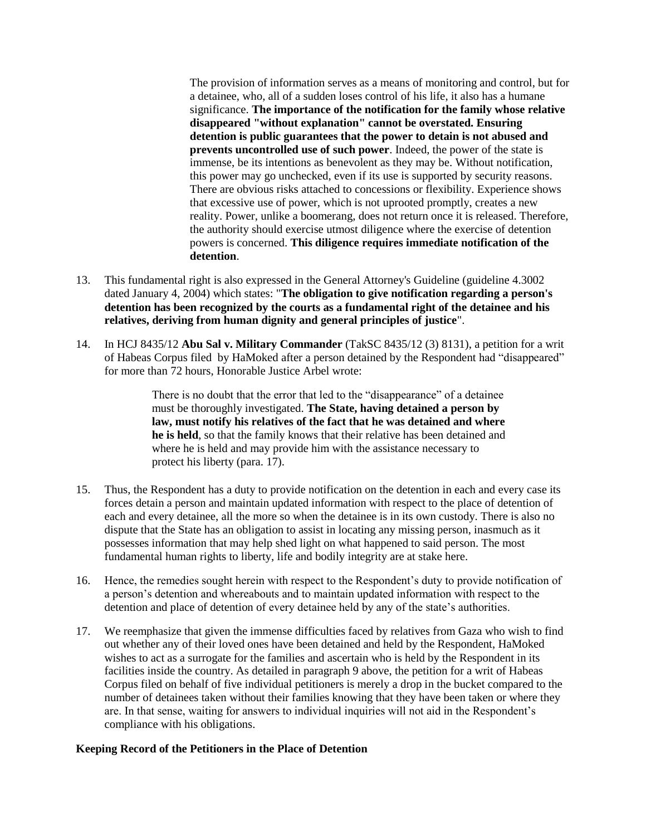The provision of information serves as a means of monitoring and control, but for a detainee, who, all of a sudden loses control of his life, it also has a humane significance. **The importance of the notification for the family whose relative disappeared "without explanation" cannot be overstated. Ensuring detention is public guarantees that the power to detain is not abused and prevents uncontrolled use of such power**. Indeed, the power of the state is immense, be its intentions as benevolent as they may be. Without notification, this power may go unchecked, even if its use is supported by security reasons. There are obvious risks attached to concessions or flexibility. Experience shows that excessive use of power, which is not uprooted promptly, creates a new reality. Power, unlike a boomerang, does not return once it is released. Therefore, the authority should exercise utmost diligence where the exercise of detention powers is concerned. **This diligence requires immediate notification of the detention**.

- 13. This fundamental right is also expressed in the General Attorney's Guideline (guideline 4.3002 dated January 4, 2004) which states: "**The obligation to give notification regarding a person's detention has been recognized by the courts as a fundamental right of the detainee and his relatives, deriving from human dignity and general principles of justice**".
- 14. In HCJ 8435/12 **Abu Sal v. Military Commander** (TakSC 8435/12 (3) 8131), a petition for a writ of Habeas Corpus filed by HaMoked after a person detained by the Respondent had "disappeared" for more than 72 hours, Honorable Justice Arbel wrote:

There is no doubt that the error that led to the "disappearance" of a detainee must be thoroughly investigated. **The State, having detained a person by law, must notify his relatives of the fact that he was detained and where he is held**, so that the family knows that their relative has been detained and where he is held and may provide him with the assistance necessary to protect his liberty (para. 17).

- 15. Thus, the Respondent has a duty to provide notification on the detention in each and every case its forces detain a person and maintain updated information with respect to the place of detention of each and every detainee, all the more so when the detainee is in its own custody. There is also no dispute that the State has an obligation to assist in locating any missing person, inasmuch as it possesses information that may help shed light on what happened to said person. The most fundamental human rights to liberty, life and bodily integrity are at stake here.
- 16. Hence, the remedies sought herein with respect to the Respondent's duty to provide notification of a person's detention and whereabouts and to maintain updated information with respect to the detention and place of detention of every detainee held by any of the state's authorities.
- 17. We reemphasize that given the immense difficulties faced by relatives from Gaza who wish to find out whether any of their loved ones have been detained and held by the Respondent, HaMoked wishes to act as a surrogate for the families and ascertain who is held by the Respondent in its facilities inside the country. As detailed in paragraph 9 above, the petition for a writ of Habeas Corpus filed on behalf of five individual petitioners is merely a drop in the bucket compared to the number of detainees taken without their families knowing that they have been taken or where they are. In that sense, waiting for answers to individual inquiries will not aid in the Respondent's compliance with his obligations.

### **Keeping Record of the Petitioners in the Place of Detention**